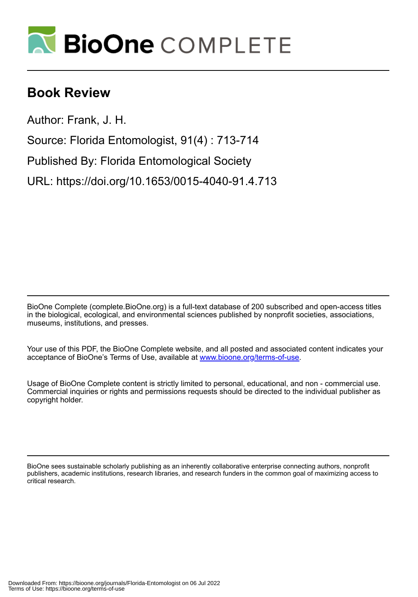

## **Book Review**

Author: Frank, J. H.

Source: Florida Entomologist, 91(4) : 713-714

Published By: Florida Entomological Society

URL: https://doi.org/10.1653/0015-4040-91.4.713

BioOne Complete (complete.BioOne.org) is a full-text database of 200 subscribed and open-access titles in the biological, ecological, and environmental sciences published by nonprofit societies, associations, museums, institutions, and presses.

Your use of this PDF, the BioOne Complete website, and all posted and associated content indicates your acceptance of BioOne's Terms of Use, available at www.bioone.org/terms-of-use.

Usage of BioOne Complete content is strictly limited to personal, educational, and non - commercial use. Commercial inquiries or rights and permissions requests should be directed to the individual publisher as copyright holder.

BioOne sees sustainable scholarly publishing as an inherently collaborative enterprise connecting authors, nonprofit publishers, academic institutions, research libraries, and research funders in the common goal of maximizing access to critical research.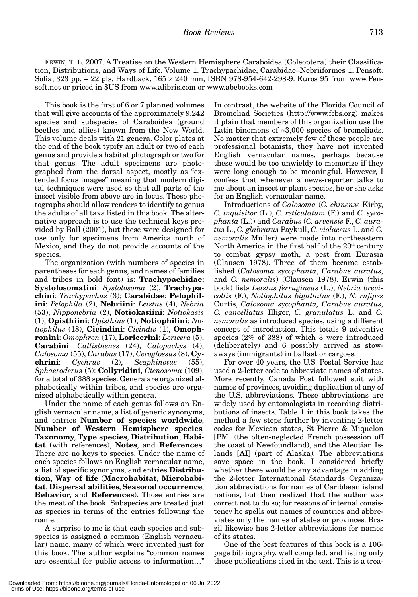ERWIN, T. L. 2007. A Treatise on the Western Hemisphere Caraboidea (Coleoptera) their Classification, Distributions, and Ways of Life. Volume 1. Trachypachidae, Carabidae–Nebriiformes 1. Pensoft, Sofia, 323 pp.  $+ 22$  pls. Hardback,  $165 \times 240$  mm, ISBN 978-954-642-298-9. Euros 95 from www.Pensoft.net or priced in \$US from www.alibris.com or www.abebooks.com

This book is the first of 6 or 7 planned volumes that will give accounts of the approximately 9,242 species and subspecies of Caraboidea (ground beetles and allies) known from the New World. This volume deals with 21 genera. Color plates at the end of the book typify an adult or two of each genus and provide a habitat photograph or two for that genus. The adult specimens are photographed from the dorsal aspect, mostly as "extended focus images" meaning that modern digital techniques were used so that all parts of the insect visible from above are in focus. These photographs should allow readers to identify to genus the adults of all taxa listed in this book. The alternative approach is to use the technical keys provided by Ball (2001), but these were designed for use only for specimens from America north of Mexico, and they do not provide accounts of the species.

The organization (with numbers of species in parentheses for each genus, and names of families and tribes in bold font) is: **Trachypachidae: Systolosomatini**: *Systolosoma* (2), **Trachypachini**: *Trachypachus* (3); **Carabidae**: **Pelophilini**: *Pelophila* (2), **Nebriini**: *Leistus* (4), *Nebria* (53), *Nipponebria* (2), **Notiokasiini**: *Notiokasis* (1), **Opisthiini**: *Opisthius* (1), **Notiophilini**: *Notiophilus* (18), **Cicindini**: *Cicindis* (1), **Omophronini**: *Omophron* (17), **Loricerini**: *Loricera* (5), **Carabini**: *Callisthenes* (24), *Calopachys* (4), *Calosoma* (55), *Carabus* (17), *Ceroglossus* (8), **Cychrini**: *Cychrus* (2), *Scaphinotus* (55), *Sphaeroderus* (5): **Collyridini**, *Ctenosoma* (109), for a total of 388 species. Genera are organized alphabetically within tribes, and species are organized alphabetically within genera.

Under the name of each genus follows an English vernacular name, a list of generic synonyms, and entries **Number of species worldwide**, **Number of Western Hemisphere species**, **Taxonomy**, **Type species**, **Distribution**, **Habitat** (with references), **Notes**, and **References**. There are no keys to species. Under the name of each species follows an English vernacular name, a list of specific synonyms, and entries **Distribution**, **Way of life** (**Macrohabitat**, **Microhabitat**, **Dispersal abilities**, **Seasonal occurrence**, **Behavior**, and **References**). Those entries are the meat of the book. Subspecies are treated just as species in terms of the entries following the name.

A surprise to me is that each species and subspecies is assigned a common (English vernacular) name, many of which were invented just for this book. The author explains "common names are essential for public access to information…" In contrast, the website of the Florida Council of Bromeliad Societies (http://www.fcbs.org) makes it plain that members of this organization use the Latin binomens of  $\approx 3,000$  species of bromeliads. No matter that extremely few of these people are professional botanists, they have not invented English vernacular names, perhaps because these would be too unwieldy to memorize if they were long enough to be meaningful. However, I confess that whenever a news-reporter talks to me about an insect or plant species, he or she asks for an English vernacular name.

Introductions of *Calosoma* (*C. chinense* Kirby, *C. inquisitor* (L.), *C. reticulatum* (F.) and *C. sycophanta* (L.)) and *Carabus* (*C. arvensis* F., *C. auratus* L., *C. glabratus* Paykull, *C. violaceus* L. and *C. nemoralis* Müller) were made into northeastern North America in the first half of the  $20<sup>th</sup>$  century to combat gypsy moth, a pest from Eurasia (Clausen 1978). Three of them became established (*Calosoma sycophanta*, *Carabus auratus*, and *C. nemoralis*) (Clausen 1978). Erwin (this book) lists *Leistus ferrugineus* (L.), *Nebria brevicollis* (F.), *Notiophilus biguttatus* (F.), *N. rufipes* Curtis, *Calosoma sycophanta, Carabus auratus*, *C. cancellatus* Illiger, *C. granulatus* L. and *C. nemoralis* as introduced species, using a different concept of introduction. This totals 9 adventive species (2% of 388) of which 3 were introduced (deliberately) and 6 possibly arrived as stowaways (immigrants) in ballast or cargoes.

For over 40 years, the U.S. Postal Service has used a 2-letter code to abbreviate names of states. More recently, Canada Post followed suit with names of provinces, avoiding duplication of any of the U.S. abbreviations. These abbreviations are widely used by entomologists in recording distributions of insects. Table 1 in this book takes the method a few steps further by inventing 2-letter codes for Mexican states, St Pierre & Miquelon [PM] (the often-neglected French possession off the coast of Newfoundland), and the Aleutian Islands [AI] (part of Alaska). The abbreviations save space in the book. I considered briefly whether there would be any advantage in adding the 2-letter International Standards Organization abbreviations for names of Caribbean island nations, but then realized that the author was correct not to do so; for reasons of internal consistency he spells out names of countries and abbreviates only the names of states or provinces. Brazil likewise has 2-letter abbreviations for names of its states.

One of the best features of this book is a 106 page bibliography, well compiled, and listing only those publications cited in the text. This is a trea